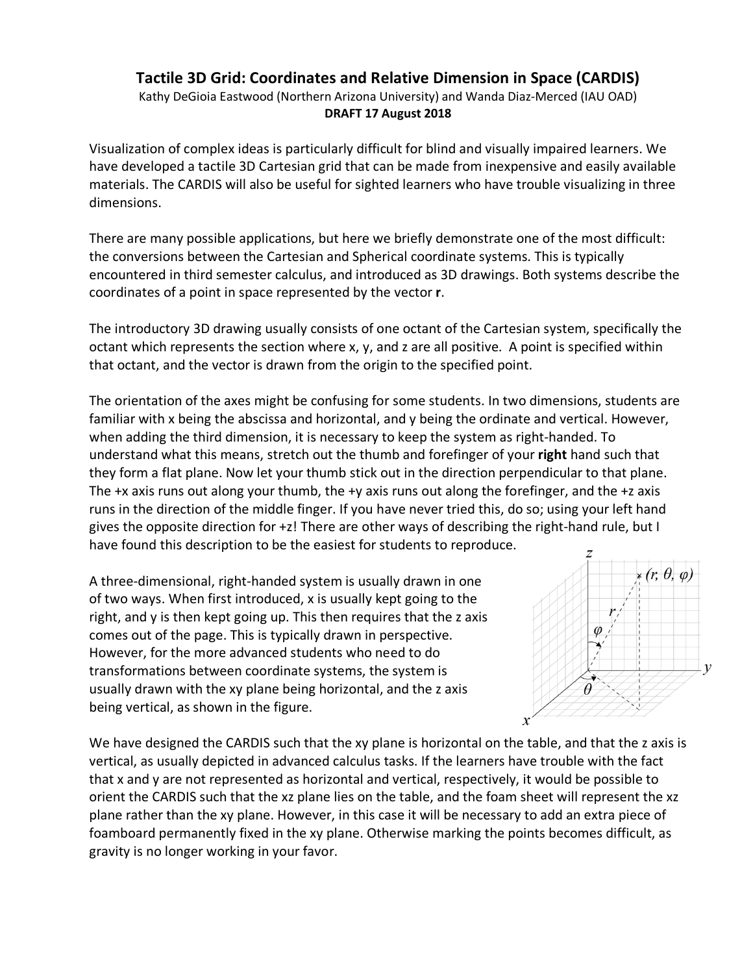## **Tactile 3D Grid: Coordinates and Relative Dimension in Space (CARDIS)**

Kathy DeGioia Eastwood (Northern Arizona University) and Wanda Diaz-Merced (IAU OAD) **DRAFT 17 August 2018**

Visualization of complex ideas is particularly difficult for blind and visually impaired learners. We have developed a tactile 3D Cartesian grid that can be made from inexpensive and easily available materials. The CARDIS will also be useful for sighted learners who have trouble visualizing in three dimensions.

There are many possible applications, but here we briefly demonstrate one of the most difficult: the conversions between the Cartesian and Spherical coordinate systems. This is typically encountered in third semester calculus, and introduced as 3D drawings. Both systems describe the coordinates of a point in space represented by the vector **r**.

The introductory 3D drawing usually consists of one octant of the Cartesian system, specifically the octant which represents the section where x, y, and z are all positive. A point is specified within that octant, and the vector is drawn from the origin to the specified point.

The orientation of the axes might be confusing for some students. In two dimensions, students are familiar with x being the abscissa and horizontal, and y being the ordinate and vertical. However, when adding the third dimension, it is necessary to keep the system as right-handed. To understand what this means, stretch out the thumb and forefinger of your **right** hand such that they form a flat plane. Now let your thumb stick out in the direction perpendicular to that plane. The +x axis runs out along your thumb, the +y axis runs out along the forefinger, and the +z axis runs in the direction of the middle finger. If you have never tried this, do so; using your left hand gives the opposite direction for +z! There are other ways of describing the right-hand rule, but I have found this description to be the easiest for students to reproduce.

A three-dimensional, right-handed system is usually drawn in one of two ways. When first introduced, x is usually kept going to the right, and y is then kept going up. This then requires that the z axis comes out of the page. This is typically drawn in perspective. However, for the more advanced students who need to do transformations between coordinate systems, the system is usually drawn with the xy plane being horizontal, and the z axis being vertical, as shown in the figure.



We have designed the CARDIS such that the xy plane is horizontal on the table, and that the z axis is vertical, as usually depicted in advanced calculus tasks. If the learners have trouble with the fact that x and y are not represented as horizontal and vertical, respectively, it would be possible to orient the CARDIS such that the xz plane lies on the table, and the foam sheet will represent the xz plane rather than the xy plane. However, in this case it will be necessary to add an extra piece of foamboard permanently fixed in the xy plane. Otherwise marking the points becomes difficult, as gravity is no longer working in your favor.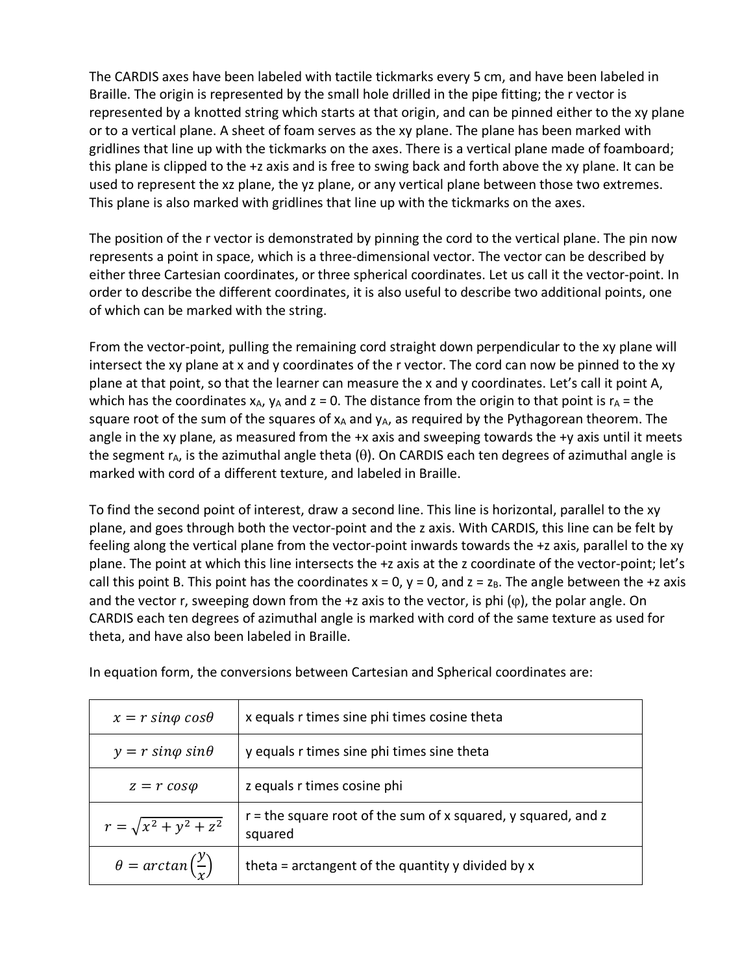The CARDIS axes have been labeled with tactile tickmarks every 5 cm, and have been labeled in Braille. The origin is represented by the small hole drilled in the pipe fitting; the r vector is represented by a knotted string which starts at that origin, and can be pinned either to the xy plane or to a vertical plane. A sheet of foam serves as the xy plane. The plane has been marked with gridlines that line up with the tickmarks on the axes. There is a vertical plane made of foamboard; this plane is clipped to the +z axis and is free to swing back and forth above the xy plane. It can be used to represent the xz plane, the yz plane, or any vertical plane between those two extremes. This plane is also marked with gridlines that line up with the tickmarks on the axes.

The position of the r vector is demonstrated by pinning the cord to the vertical plane. The pin now represents a point in space, which is a three-dimensional vector. The vector can be described by either three Cartesian coordinates, or three spherical coordinates. Let us call it the vector-point. In order to describe the different coordinates, it is also useful to describe two additional points, one of which can be marked with the string.

From the vector-point, pulling the remaining cord straight down perpendicular to the xy plane will intersect the xy plane at x and y coordinates of the r vector. The cord can now be pinned to the xy plane at that point, so that the learner can measure the x and y coordinates. Let's call it point A, which has the coordinates  $x_A$ ,  $y_A$  and z = 0. The distance from the origin to that point is  $r_A$  = the square root of the sum of the squares of  $x_A$  and  $y_A$ , as required by the Pythagorean theorem. The angle in the xy plane, as measured from the +x axis and sweeping towards the +y axis until it meets the segment  $r_A$ , is the azimuthal angle theta ( $\theta$ ). On CARDIS each ten degrees of azimuthal angle is marked with cord of a different texture, and labeled in Braille.

To find the second point of interest, draw a second line. This line is horizontal, parallel to the xy plane, and goes through both the vector-point and the z axis. With CARDIS, this line can be felt by feeling along the vertical plane from the vector-point inwards towards the +z axis, parallel to the xy plane. The point at which this line intersects the +z axis at the z coordinate of the vector-point; let's call this point B. This point has the coordinates  $x = 0$ ,  $y = 0$ , and  $z = z_B$ . The angle between the +z axis and the vector r, sweeping down from the +z axis to the vector, is phi  $(\varphi)$ , the polar angle. On CARDIS each ten degrees of azimuthal angle is marked with cord of the same texture as used for theta, and have also been labeled in Braille.

| $x = r \sin\varphi \cos\theta$             | x equals r times sine phi times cosine theta                               |
|--------------------------------------------|----------------------------------------------------------------------------|
| $y = r \sin\varphi \sin\theta$             | y equals r times sine phi times sine theta                                 |
| $z = r \cos \varphi$                       | z equals r times cosine phi                                                |
| $r = \sqrt{x^2 + y^2 + z^2}$               | $r =$ the square root of the sum of x squared, y squared, and z<br>squared |
| $\theta = \arctan\left(\frac{y}{r}\right)$ | theta = arctangent of the quantity y divided by x                          |

In equation form, the conversions between Cartesian and Spherical coordinates are: